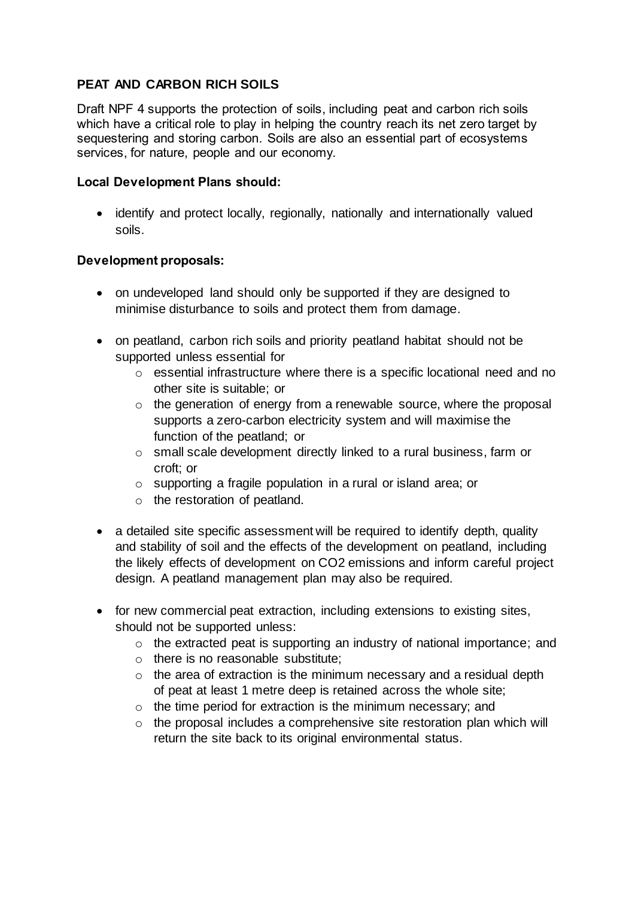# **PEAT AND CARBON RICH SOILS**

Draft NPF 4 supports the protection of soils, including peat and carbon rich soils which have a critical role to play in helping the country reach its net zero target by sequestering and storing carbon. Soils are also an essential part of ecosystems services, for nature, people and our economy.

### **Local Development Plans should:**

• identify and protect locally, regionally, nationally and internationally valued soils.

## **Development proposals:**

- on undeveloped land should only be supported if they are designed to minimise disturbance to soils and protect them from damage.
- on peatland, carbon rich soils and priority peatland habitat should not be supported unless essential for
	- o essential infrastructure where there is a specific locational need and no other site is suitable; or
	- $\circ$  the generation of energy from a renewable source, where the proposal supports a zero-carbon electricity system and will maximise the function of the peatland; or
	- o small scale development directly linked to a rural business, farm or croft; or
	- o supporting a fragile population in a rural or island area; or
	- o the restoration of peatland.
- a detailed site specific assessment will be required to identify depth, quality and stability of soil and the effects of the development on peatland, including the likely effects of development on CO2 emissions and inform careful project design. A peatland management plan may also be required.
- for new commercial peat extraction, including extensions to existing sites, should not be supported unless:
	- o the extracted peat is supporting an industry of national importance; and
	- o there is no reasonable substitute;
	- $\circ$  the area of extraction is the minimum necessary and a residual depth of peat at least 1 metre deep is retained across the whole site;
	- o the time period for extraction is the minimum necessary; and
	- o the proposal includes a comprehensive site restoration plan which will return the site back to its original environmental status.